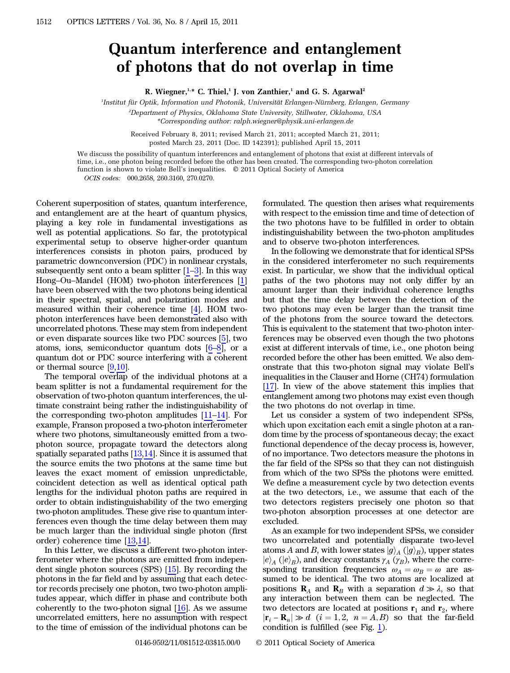## Quantum interference and entanglement of photons that do not overlap in time

R. Wiegner,<sup>1,\*</sup> C. Thiel,<sup>1</sup> J. von Zanthier,<sup>1</sup> and G. S. Agarwal<sup>2</sup>

1 Institut für Optik, Information und Photonik, Universität Erlangen-Nürnberg, Erlangen, Germany 2 Department of Physics, Oklahoma State University, Stillwater, Oklahoma, USA \*Corresponding author: ralph.wiegner@physik.uni‐erlangen.de

> Received February 8, 2011; revised March 21, 2011; accepted March 21, 2011; posted March 23, 2011 (Doc. ID 142391); published April 15, 2011

We discuss the possibility of quantum interferences and entanglement of photons that exist at different intervals of time, i.e., one photon being recorded before the other has been created. The corresponding two-photon correlation function is shown to violate Bell*'*s inequalities. © 2011 Optical Society of America OCIS codes: 000.2658, 260.3160, 270.0270.

Coherent superposition of states, quantum interference, and entanglement are at the heart of quantum physics, playing a key role in fundamental investigations as well as potential applications. So far, the prototypical experimental setup to observe higher-order quantum interferences consists in photon pairs, produced by parametric downconversion (PDC) in nonlinear crystals, subsequently sent onto a beam splitter  $[1-3]$ . In this way Hong–Ou–Mandel (HOM) two-photon interferences [1] have been observed with the two photons being identical in their spectral, spatial, and polarization modes and measured within their coherence time [4]. HOM twophoton interferences have been demonstrated also with uncorrelated photons. These may stem from independent or even disparate sources like two PDC sources [5], two atoms, ions, semiconductor quantum dots [6–8], or a quantum dot or PDC source interfering with a coherent or thermal source [9,10].

The temporal overlap of the individual photons at a beam splitter is not a fundamental requirement for the observation of two-photon quantum interferences, the ultimate constraint being rather the indistinguishability of the corresponding two-photon amplitudes  $[11-14]$ . For example, Franson proposed a two-photon interferometer where two photons, simultaneously emitted from a twophoton source, propagate toward the detectors along spatially separated paths  $[13,14]$ . Since it is assumed that the source emits the two photons at the same time but leaves the exact moment of emission unpredictable, coincident detection as well as identical optical path lengths for the individual photon paths are required in order to obtain indistinguishability of the two emerging two-photon amplitudes. These give rise to quantum interferences even though the time delay between them may be much larger than the individual single photon (first order) coherence time [13,14].

In this Letter, we discuss a different two-photon interferometer where the photons are emitted from independent single photon sources (SPS) [15]. By recording the photons in the far field and by assuming that each detector records precisely one photon, two two-photon amplitudes appear, which differ in phase and contribute both coherently to the two-photon signal  $[16]$ . As we assume uncorrelated emitters, here no assumption with respect to the time of emission of the individual photons can be

formulated. The question then arises what requirements with respect to the emission time and time of detection of the two photons have to be fulfilled in order to obtain indistinguishability between the two-photon amplitudes and to observe two-photon interferences.

In the following we demonstrate that for identical SPSs in the considered interferometer no such requirements exist. In particular, we show that the individual optical paths of the two photons may not only differ by an amount larger than their individual coherence lengths but that the time delay between the detection of the two photons may even be larger than the transit time of the photons from the source toward the detectors. This is equivalent to the statement that two-photon interferences may be observed even though the two photons exist at different intervals of time, i.e., one photon being recorded before the other has been emitted. We also demonstrate that this two-photon signal may violate Bell's inequalities in the Clauser and Horne (CH74) formulation [17]. In view of the above statement this implies that entanglement among two photons may exist even though the two photons do not overlap in time.

Let us consider a system of two independent SPSs, which upon excitation each emit a single photon at a random time by the process of spontaneous decay; the exact functional dependence of the decay process is, however, of no importance. Two detectors measure the photons in the far field of the SPSs so that they can not distinguish from which of the two SPSs the photons were emitted. We define a measurement cycle by two detection events at the two detectors, i.e., we assume that each of the two detectors registers precisely one photon so that two-photon absorption processes at one detector are excluded.

As an example for two independent SPSs, we consider two uncorrelated and potentially disparate two-level atoms A and B, with lower states  $|g\rangle_A$  ( $|g\rangle_B$ ), upper states  $|e\rangle_A$  ( $|e\rangle_B$ ), and decay constants  $\gamma_A$  ( $\gamma_B$ ), where the corresponding transition frequencies  $\omega_A = \omega_B = \omega$  are assumed to be identical. The two atoms are localized at positions  $\mathbf{R}_A$  and  $\mathbf{R}_B$  with a separation  $d \gg \lambda$ , so that any interaction between them can be neglected. The two detectors are located at positions  $r_1$  and  $r_2$ , where  $|\mathbf{r}_i - \mathbf{R}_n| \gg d$  ( $i = 1, 2, n = A, B$ ) so that the far-field condition is fulfilled (see Fig. [1\)](#page-1-0).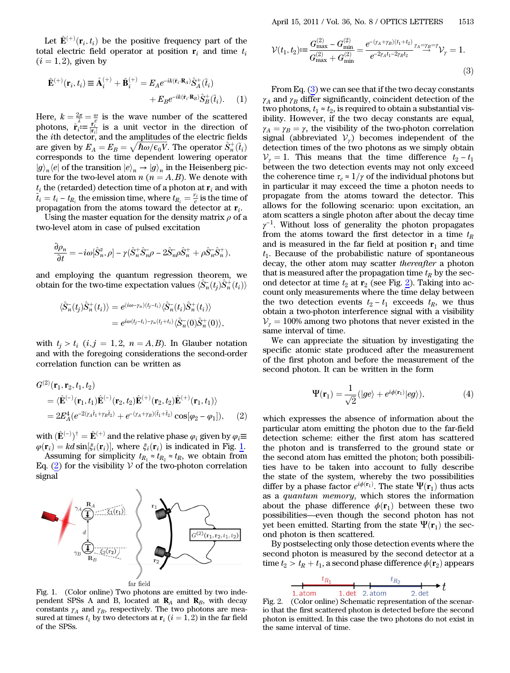Let  $\hat{\mathbf{E}}^{(+)}(\mathbf{r}_i, t_i)$  be the positive frequency part of the total electric field operator at position  $r_i$  and time  $t_i$  $(i = 1, 2)$ , given by

$$
\hat{\mathbf{E}}^{(+)}(\mathbf{r}_i, t_i) \equiv \hat{\mathbf{A}}_i^{(+)} + \hat{\mathbf{B}}_i^{(+)} = E_A e^{-ik(\hat{\mathbf{r}}_i \cdot \mathbf{R}_A)} \hat{S}_A^+(\tilde{t}_i) + E_B e^{-ik(\hat{\mathbf{r}}_i \cdot \mathbf{R}_B)} \hat{S}_B^+(\tilde{t}_i).
$$
 (1)

Here,  $k = \frac{2\pi}{\lambda} = \frac{\omega}{c}$  is the wave number of the scattered photons,  $\hat{\mathbf{r}}_i = \frac{\mathbf{r}_i^{\text{c}}}{|\mathbf{r}_i|}$  is a unit vector in the direction of the ith detector, and the amplitudes of the electric fields are given by  $E_A = E_B = \sqrt{\hbar \omega/\epsilon_0 V}$ . The operator  $\hat{S}_n^+(\tilde{t}_i)$ corresponds to the time dependent lowering operator  $|g\rangle_n\langle e|$  of the transition  $|e\rangle_n \rightarrow |g\rangle_n$  in the Heisenberg picture for the two-level atom  $n (n = A, B)$ . We denote with  $t_i$  the (retarded) detection time of a photon at  $r_i$  and with  $\tilde{t}_i = t_i - t_{R_i}$  the emission time, where  $t_{R_i} = \frac{r_i}{c}$  is the time of propagation from the atoms toward the detector at  $\mathbf{r}_i$ .

Using the master equation for the density matrix  $\rho$  of a two-level atom in case of pulsed excitation

$$
\frac{\partial \rho_n}{\partial t} = -i\omega[\hat{S}_n^z, \rho] - \gamma(\hat{S}_n^+ \hat{S}_n^- \rho - 2\hat{S}_n^- \rho \hat{S}_n^+ + \rho \hat{S}_n^- \hat{S}_n^+),
$$

and employing the quantum regression theorem, we obtain for the two-time expectation values  $\langle \hat{S}_n^-(t_j) \hat{S}_n^+(t_i) \rangle$ 

$$
\langle \hat{S}_n^-(t_j) \hat{S}_n^+(t_i) \rangle = e^{(i\omega - \gamma_n)(t_j - t_i)} \langle \hat{S}_n^-(t_i) \hat{S}_n^+(t_i) \rangle
$$
  
=  $e^{i\omega(t_j - t_i) - \gamma_n(t_j + t_i)} \langle \hat{S}_n^-(0) \hat{S}_n^+(0) \rangle$ ,

<span id="page-1-1"></span>with  $t_j > t_i$   $(i, j = 1, 2, n = A, B)$ . In Glauber notation and with the foregoing considerations the second-order correlation function can be written as

$$
G^{(2)}(\mathbf{r}_{1}, \mathbf{r}_{2}, t_{1}, t_{2})
$$
  
=\langle \hat{\mathbf{E}}^{(-)}(\mathbf{r}\_{1}, t\_{1}) \hat{\mathbf{E}}^{(-)}(\mathbf{r}\_{2}, t\_{2}) \hat{\mathbf{E}}^{(+)}(\mathbf{r}\_{2}, t\_{2}) \hat{\mathbf{E}}^{(+)}(\mathbf{r}\_{1}, t\_{1}) \rangle  
= 2E\_{A}^{4} (e^{-2(\gamma\_{A}\tilde{t}\_{1} + \gamma\_{B}\tilde{t}\_{2})} + e^{-(\gamma\_{A} + \gamma\_{B})(\tilde{t}\_{1} + \tilde{t}\_{2})} \cos[\varphi\_{2} - \varphi\_{1}]), (2)

with  $(\hat{\mathbf{E}}^{(-)})^{\dagger} = \hat{\mathbf{E}}^{(+)}$  and the relative phase  $\varphi_i$  given by  $\varphi_i \equiv$  $\varphi(\mathbf{r}_i) = kd \sin[\xi_i(\mathbf{r}_i)]$ , where  $\xi_i(\mathbf{r}_i)$  is indicated in Fig. [1.](#page-1-0)

Assuming for simplicity  $t_{R_1} \approx t_{R_2} \approx t_R$ , we obtain from Eq.  $(2)$  $(2)$  for the visibility  $V$  of the two-photon correlation signal

<span id="page-1-0"></span>

Fig. 1. (Color online) Two photons are emitted by two independent SPSs A and B, located at  $\mathbf{R}_A$  and  $\mathbf{R}_B$ , with decay constants  $\gamma_A$  and  $\gamma_B$ , respectively. The two photons are measured at times  $t_i$  by two detectors at  $\mathbf{r}_i$  ( $i = 1, 2$ ) in the far field of the SPSs.

<span id="page-1-2"></span>
$$
\mathcal{V}(t_1, t_2) := \frac{G_{\text{max}}^{(2)} - G_{\text{min}}^{(2)}}{G_{\text{max}}^{(2)} + G_{\text{min}}^{(2)}} = \frac{e^{-(\gamma_A + \gamma_B)(t_1 + t_2)}}{e^{-2\gamma_A t_1 - 2\gamma_B t_2}} \gamma_A = \gamma_B = \gamma_{\gamma} = 1.
$$
\n(3)

From Eq. ([3\)](#page-1-2) we can see that if the two decay constants  $\gamma_A$  and  $\gamma_B$  differ significantly, coincident detection of the two photons,  $t_1 \approx t_2$ , is required to obtain a substantial visibility. However, if the two decay constants are equal,  $\gamma_A = \gamma_B = \gamma$ , the visibility of the two-photon correlation signal (abbreviated  $V_{\nu}$ ) becomes independent of the detection times of the two photons as we simply obtain  $V_{\gamma} = 1$ . This means that the time difference  $t_2 - t_1$ between the two detection events may not only exceed the coherence time  $\tau_c \approx 1/\gamma$  of the individual photons but in particular it may exceed the time a photon needs to propagate from the atoms toward the detector. This allows for the following scenario: upon excitation, an atom scatters a single photon after about the decay time  $\gamma^{-1}$ . Without loss of generality the photon propagates from the atoms toward the first detector in a time  $t_R$ and is measured in the far field at position  $r_1$  and time  $t_1$ . Because of the probabilistic nature of spontaneous decay, the other atom may scatter thereafter a photon that is measured after the propagation time  $t_R$  by the second detector at time  $t_2$  $t_2$  at  $r_2$  (see Fig. 2). Taking into account only measurements where the time delay between the two detection events  $t_2 - t_1$  exceeds  $t_R$ , we thus obtain a two-photon interference signal with a visibility  $V_{\gamma} = 100\%$  among two photons that never existed in the same interval of time.

We can appreciate the situation by investigating the specific atomic state produced after the measurement of the first photon and before the measurement of the second photon. It can be written in the form

$$
\Psi(\mathbf{r}_1) = \frac{1}{\sqrt{2}} (|ge\rangle + e^{i\phi(\mathbf{r}_1)} |eg\rangle), \tag{4}
$$

which expresses the absence of information about the particular atom emitting the photon due to the far-field detection scheme: either the first atom has scattered the photon and is transferred to the ground state or the second atom has emitted the photon; both possibilities have to be taken into account to fully describe the state of the system, whereby the two possibilities differ by a phase factor  $e^{i\phi(\mathbf{r}_1)}$ . The state  $\Psi(\mathbf{r}_1)$  thus acts as a quantum memory, which stores the information about the phase difference  $\phi(\mathbf{r}_1)$  between these two possibilities—even though the second photon has not yet been emitted. Starting from the state  $\Psi(\mathbf{r}_1)$  the second photon is then scattered.

By postselecting only those detection events where the second photon is measured by the second detector at a time  $t_2 > t_R + t_1$ , a second phase difference  $\phi(\mathbf{r}_2)$  appears

<span id="page-1-3"></span>

io that the first scattered photon is detected before the second photon is emitted. In this case the two photons do not exist in the same interval of time.